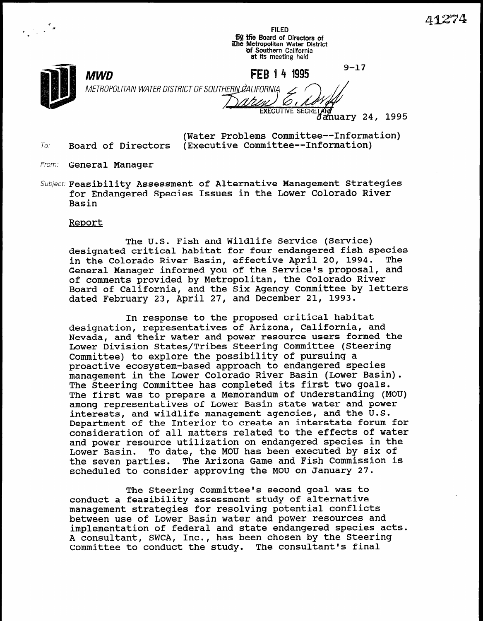41274

FILED **By the Board of Directors of** Ehe Metropolitan Water District 0f Southern California at its meeting held

f c

> $9 - 17$ FFR 14 1995

METROPOLITAN WATER DISTRICT OF SOUTHERN ØALIFORNIA *EXECUTIVE SECRE* 

a*nuary* 24, 1995

(Water Problems Committee--Information) To: Board of Directors (Executive Committee--Information)

MWD

- From: General Manager
- Subject: Feasibility Assessment of Alternative Management Strategies for Endangered Species Issues in the Lower Colorado River Basin

## Report

The U.S. Fish and Wildlife Service (Service) designated critical habitat for four endangered fish species in the Colorado River Basin, effective April 20, 1994. The General Manager informed you of the Service's proposal, and of comments provided by Metropolitan, the Colorado River Board of California, and the Six Agency Committee by letters dated February 23, April 27, and December 21, 1993.

In response to the proposed critical habitat designation, representatives of Arizona, California, and Nevada, and their water and power resource users formed the Lower Division States/Tribes Steering Committee (Steering Committee) to explore the possibility of pursuing a pommittee) to exploie the possibility of pursuing a management in the Lower Colorado River Basin (Lower Basin). The Steering Committee has completed its first two goals. The Steering Committee has completed its first two goals. The first was to prepare a Memorandum of Understanding (MOU) among representatives of Lower Basin state water and power interests, and wildlife management agencies, and the U.S. Department of the Interior to create an interstate forum for consideration of all matters related to the effects of water and power resource utilization on endangered species in the<br>Lower Basin. To date, the MOU has been executed by six of To date, the MOU has been executed by six of the seven parties. The Arizona Game and Fish Commission is scheduled to consider approving the MOU on January 27.

The Steering Committee's second goal was to The Steering Committee's second goal was conduct a feasibility assessment study of alternative management strategies for resolving potential conflicts between use of Lower Basin water and power resources and implementation of federal and state endangered species acts. A consultant, SWCA, Inc., has been chosen by the Steering<br>Committee to conduct the study. The consultant's final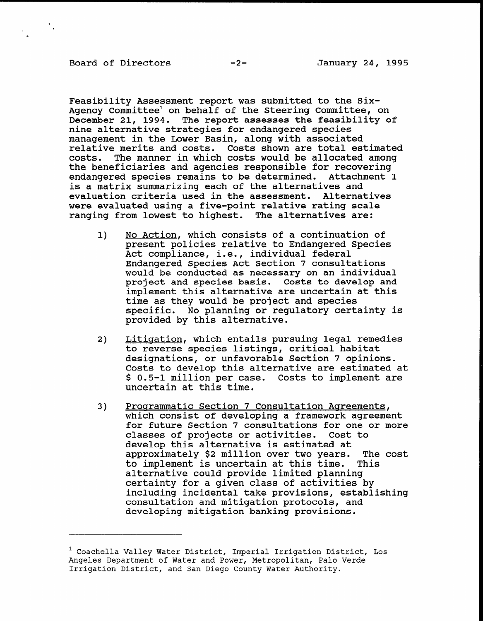÷.,

Feasibility Assessment report was submitted to the Six-Agency Committee' on behalf of the Steering Committee, on December 21, 1994. The report assesses the feasibility of nine alternative strategies for endangered species management in the Lower Basin, along with associated relative merits and costs. Costs shown are total estimated costs. The manner in which costs would be allocated among the beneficiaries and agencies responsible for recovering endangered species remains to be determined. Attachment 1 is a matrix summarizing each of the alternatives and evaluation criteria used in the assessment. Alternatives were evaluated using a five-point relative rating scale ranging from lowest to highest. The alternatives are:

- 1) No Action, which consists of a continuation of present policies relative to Endangered Species Act compliance, i.e., individual federal Endangered Species Act Section 7 consultations would be conducted as necessary on an individual project and species basis. Costs to develop and implement this alternative are uncertain at this time as they would be project and species specific. No planning or regulatory certainty is provided by this alternative.
- 2) Litisation, which entails pursuing legal remedies to reserve species listings, critical habit to reverse species listings, critical habitat designations, or unfavorable Section 7 opinions. Costs to develop this alternative are estimated at \$ 0.5-1 million per case. Costs to implement are uncertain at this time.
- 3) Prosrammatic Section 7 Consultation Agreements, <u>Programmatic section / Consultation Agreements</u>, which consist of developing a framework agreement for future Section 7 consultations for one or more<br>classes of projects or activities. Cost to classes of projects or activities. develop this alternative is estimated at<br>approximately \$2 million over two years. The cost approximately \$2 million over two years. The<br>to implement is uncertain at this time. This to implement is uncertain at this time. alternative could provide limited planning certainty for a given class of activities by including incidental take provisions, establishing consultation and mitigation protocols, and<br>developing mitigation banking provisions.

1 Coachella Valley Water District, Imperial Irrigation District, Los

 $^1$  Coachella Valley Water District, Imperial Irrigation District, Los Angeles Department of Water and Power, Metropolitan, Palo Verde Irrigation District, and San Diego County Water Authority.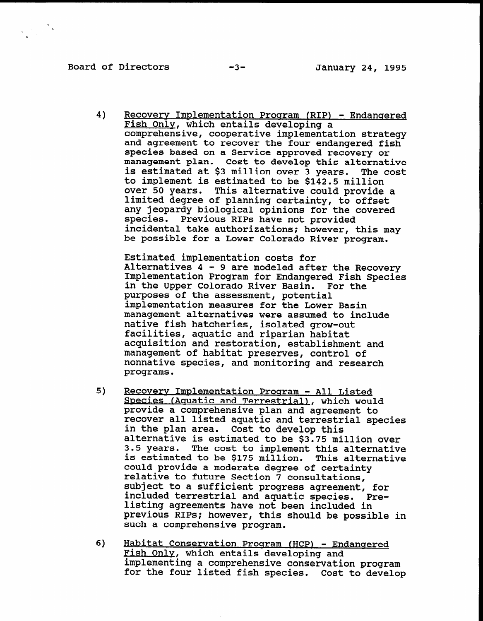Board of Directors -3- January 24, 1995

4) Recovery Implementation Program (RIP) - Endangered Fish Only, which entails developing a comprehensive, cooperative implementation strategy and agreement to recover the four endangered fish species based on a Service approved recovery or management plan. Cost to develop this alternative is estimated at \$3 million over 3 years. The cost to implement is estimated to be \$142.5 million over 50 years. This alternative could provide a limited degree of planning certainty, to offset any jeopardy biological opinions for the covered species. Previous RIPS have not provided incidental take authorizations: however, this may be possible for a Lower Colorado River program.

Estimated implementation costs for Alternatives 4 - 9 are modeled after the Recovery Implementation Program for Endangered Fish Species in the Upper Colorado River Basin. For the purposes of the assessment, potential implementation measures for the Lower Basin management alternatives for the hower basin management alternatives were assumed to native fish hatcheries, isolated grow-out<br>facilities, aquatic and riparian habitat ractificition and restoration, establishment and<br>consisting and restoration, establishment and acquisition and restoration, establishment management of habitat preserves, control of nonnative species, and monitoring and research programs.

- 5) Recoverv Implementation Proaram All Listed <u>Recovery Implementation Program - All Listed</u> Species (Aquatic and Terrestrial), which would provide a comprehensive plan and agreement to recover all listed aquatic and terrestrial species in the plan area. Cost to develop this alternative is estimated to be \$3.75 million over 3.5 years. The cost to implement this alternative is estimated to be \$175 million. This alternative could provide a moderate degree of certainty relative to future Section 7 consultations, subject to a sufficient progress agreement, for included terrestrial and aquatic species. Prelisting agreements have not been included in previous RIPs; however, this should be possible in such a comprehensive program.
- $\mathbf{f}$  Habitat Conservation Program (HCP) Endangered Program (HCP) Endangered Program (HCP) Endangered Program (HCP) Endangered Program (HCP) Endangered Program (HCP) Endangered Program (HCP) Endangered Pr <u>Habitat Conservation Program (HCP) - En</u> Fish Only, which entails developing and implementing a comprehensive conservation program<br>for the four listed fish species. Cost to develop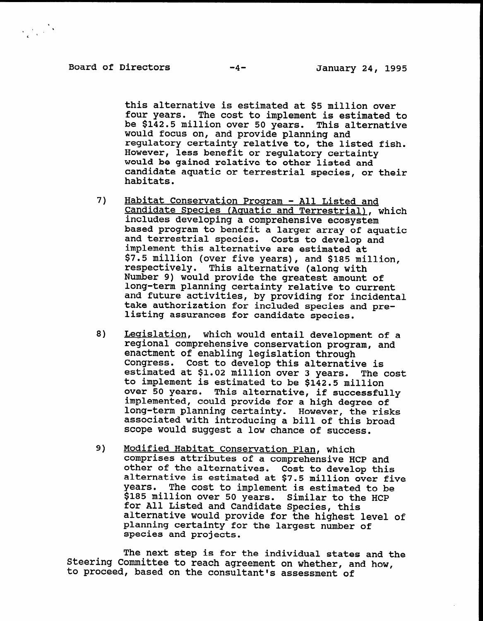$\label{eq:2} \frac{1}{\sqrt{2\pi}}\sum_{\mathbf{k}}\frac{1}{\sqrt{2\pi}}\sum_{\mathbf{k}}\frac{1}{\sqrt{2\pi}}\mathbf{k}$ 

this alternative is estimated at \$5 million over four years. The cost to implement is estimated to be \$142.5 million over 50 years. This alternative would focus on, and provide planning and regulatory certainty relative to, the listed fish. However, less benefit or regulatory certainty would be gained relative to other listed and candidate aquatic or terrestrial species, or their habitats.

- $7)$ Habitat Conservation Program - All Listed and Candidate Species (Aquatic and Terrestrial), which includes developing a comprehensive ecosystem based program to benefit a larger array of aquatic and terrestrial species. Costs to develop and implement this alternative are estimated at Implement this alternative ale estimated at respectively. This alternative (along with Number 9) would provide the greatest amount of number 3) would provide the greatest amount of long-term planning certainty relative to current and future activities, by providing for incidental take authorization for included species and pre-<br>listing assurances for candidate species.
- 8) Legislation, which would entail development of a regisiation, which would entail development of . regional comprehensive conservation program, and enactment of enabling legislation through<br>Congress. Cost to develop this alternative is congress. Cost to develop this alternative is<br>estimated at \$1.02 million over 3 years. The cost estimated at \$1.02 million over 3 years. Th to implement is estimated to be \$142.5 million over 50 years. This alternative, if successful<br>implemented as a high degree of the contract of implemented, could provide for a high degree of long-term planning certainty. However, the risks associated with introducing a bill of this broad scope would suggest a low chance of success.
- $\theta$ ) Modified Habitat Conservation Plan, which <u>Modified Habitat Conservation Plan</u>, which comprises attributes of a comprehensive HCP and other of the alternatives. Cost to develop this alternative is estimated at \$7.5 million over five years. The cost to implement is estimated to be \$185 million over 50 years. Similar to the HCP for All Listed and Candidate Species, this alternative would provide for the highest level of planning certainty for the largest number of species and projects.

The next step is for the individual states and the Steering Committee to reach agreement on whether, and how, to proceed, based on the consultant's assessment of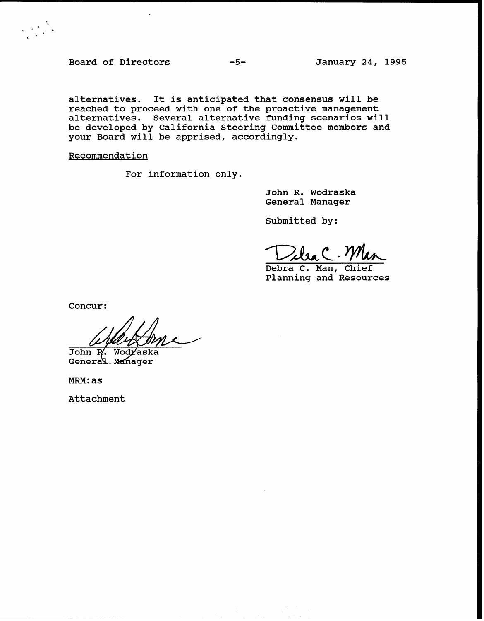Board of Directors -5-<br>
-5-<br>
January 24, 1995

 $\mathcal{L} \in \mathbb{R}^{N \times N}$ 

alternatives. It is anticipated that consensus will be reached to proceed with one of the proactive management alternatives. Several alternative funding scenarios will be developed by California Steering Committee members and your Board will be apprised, according

Recommendation

For information only.

John R. Wodraska General Manager

Submitted by:

 $Zl$ sa C. W

Debra C. Man, Chief Planning and Resources

Concur:

 $JohnR$ . Wodraska

General Manager

MRM:as

Attachment